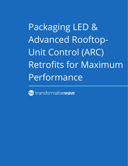Packaging LED & Advanced Rooftop-Unit Control (ARC) Retrofits for Maximum Performance

tw transformativewave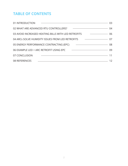# **TABLE OF CONTENTS**

| 01 INTRODUCTION                                                                                                                        | 03 |
|----------------------------------------------------------------------------------------------------------------------------------------|----|
| 02 WHAT ARE ADVANCED RTU CONTROLLERS?<br>$\overline{\phantom{a}}$ 04                                                                   |    |
| 03 AVOID INCREASED HEATING BILLS WITH LED RETROFITS<br>$\sim$ 06                                                                       |    |
| 04 ARCs SOLVE HUMIDITY ISSUES FROM LED RETROFITS<br>$\sim$ 07                                                                          |    |
| 05 ENERGY PERFORMANCE CONTRACTING (EPC)<br>$\overline{\phantom{a}}$ 08                                                                 |    |
| 06 EXAMPLE LED + ARC RETROFIT USING EPC<br>$\overline{\phantom{a}}$ 09                                                                 |    |
| 07 CONCLUSION<br><u> 1990 - Jan Barbara, margaretar bat da bat da bat da bat da bat da bat da bat da bat da bat da bat da bat da b</u> | 11 |
| 08 REFERENCES<br><u> 1980 - Andrea Andrew Maria (h. 1980).</u><br>1901 - Andrew Maria (h. 1902).                                       | 12 |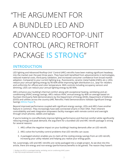# "THE ARGUMENT FOR A BUNDLED LED AND ADVANCED ROOFTOP-UNIT CONTROL (ARC) RETROFIT PACKAGE **IS STRONG**"

### **INTRODUCTION**

LED lighting and Advanced Rooftop-Unit<sup>1</sup> Control (ARC) retrofits have been making significant headway into the market over the past three years. They have both benefited from advancements in technologies, reduced material costs, third-party validation, and increased consumer confidence from broad market adoption. Compared to your current lighting (e.g., fluorescents, ceramic metal halide (CMH), etc.), LEDs reduce your annual lighting energy by 40-60% while improving light distribution (i.e., 'pop' for retailers and uniformity for offices) and color temperature. With controls including occupancy sensors and dimming, LEDs can reduce your annual lighting energy by 80-90%.

ARCs enhance your building's thermal comfort along with exceptional heating, ventilating and airconditioning (HVAC) energy savings. ARCs reduce HVAC annual energy by 46% on average based on fourteen third-party field demonstrations by the Department of Energy (DOE), Department of Defense (DOD) and utilities across the country (ARC Retrofits: Field Demonstrations Validate Significant Energy Savings **[White Paper](http://info.transformativewave.com/arc-wp)**<sup>2</sup>).

Beyond improved performance coupled with significant energy savings, LEDs and ARCs have another feature in common. They increasingly have web-connected smarts in their DNA. Their inherent controllability and web integration empowers facility managers with remote control and oversight through smart phones, tablets and laptops.

If you're looking to cost-effectively improve lighting performance and thermal comfort while significantly reducing energy and peak demand, the argument for a bundled LED and ARC retrofit package is strong for several reasons:

- 1. ARCs offset the negative impact on your building's heating demands after an LED retrofit.
- 2. ARCs solve the humidity control problems that LED retrofits can cause.
- 3. A packaged solution enables you to claim all the cooling energy savings from an LED retrofit, increasing your utility rebates and helping you realize your energy goals.

Yet, surprisingly, LED and ARC retrofits are rarely packaged into a single project. As we dive into this article, there are energy and non-energy (performance) benefits to be gained. The reason they haven't

*<sup>1</sup> Rooftop-Unit (RTU) is a packaged heating, ventilating, and air-conditioning (HVAC) system.*

*<sup>2</sup> http://info.transformativewave.com/arc-wp*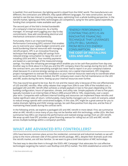is twofold. First and foremost, the lighting world is siloed from the HVAC world. The manufacturers are different, the contractors are different, they speak different languages. For new construction, we have started to see the two interact in exciting new ways, optimizing from a whole building perspective. In the retrofit market, lighting and HVAC technologies are competitors, vying for the same capital expenditure funding that companies make available each year.

The second part of the fold is limited bandwidth of a company's internal resources. As a facility manager, it's enough work juggling your day-to-day commitments. Now add coordinating electrical and mechanical contractors simultaneously.

Fortunately, there is an improved Energy Performance Contracting (EPC) solution that enables you to overcome your capital budget constraints and avoid burdening internal resources with managing retrofit projects. EPC is an innovative financing technique that leverages utility bill savings from reduced energy consumption to repay the cost of installing LEDs and ARCs. Your monthly payments are based on a percentage of the measured energy

"ENERGY PERFORMANCE CONTRACTING (EPC) IS AN INNOVATIVE FINANCING TECHNIQUE THAT LEVERAGES UTILITY BILL SAVINGS FROM REDUCED ENERGY CONSUMPTION **TO REPAY THE COST OF INSTALLING LEDs AND ARCs.**"

savings. You keep the remaining percentage which enables you to be cash-flow positive from day-one. Another way to think about it is that you and the EPC company share the savings during the term. After the contract term, you own everything outright but never had to report it on your company's balance sheet because it's a service (energy savings-as-a-service), not a capital improvement. EPC integrates project management to oversee the installation so your internal resources need only to coordinate when work can be performed. Once installed, the EPC company even covers the full maintenance on the LED and ARC assets during the term, freeing up your internal resources even further.

This may sound too good to be true. But it's not and the reason why is because of the cost effectiveness of LED and ARC retrofits. After utility rebates that range from 20% to over 50% of the installed cost, a packaged LED and ARC retrofit often achieves a simple payback in two to five years depending on the building configuration, hours of operation, climate, and utility rate. Simple paybacks of two to five years typically translate to an Internal Rate of Return (IRR) around 50% to 10%, respectively, over a sevenyear term. Companies with sufficient internal funding and resources can implement these retrofits and realize significant rates of return. Unfortunately, many facility managers are in a catch-22 scenario, asked to reduce energy spends with constrained budgets. In this case, EPC might be a great avenue for you to realize dramatic lighting and HVAC energy savings, be cash-flow positive from day-one, and be free of maintaining these assets during the contract term.

In the following article, we explore a packaged LED and ARC retrofit in more detail. First, we summarize what an ARC retrofit is since many of you may not be familiar with this technology, unlike LEDs. We then summarize how ARCs can improve the performance and realized energy savings from an LED retrofit. We wrap up with how EPC provides a great financing avenue for rolling-out an LED and ARC retrofit across multiple buildings within a company's portfolio.

### **WHAT ARE ADVANCED RTU CONTROLLERS?**

LEDs have become common place across the residential, commercial and industrial markets so we will jump to the more unknown side of this paired retrofit package. ARCs, despite their dramatic push into the retrofit market, are still less familiar. So we want to give a brief description of ARC technology.

The best way to describe them is through the DOE's ARC Campaign<sup>3</sup> that advocates for cost effective technologies targeting the nation's vast Rooftop-Unit (RTU) market. The DOE established an entire RTU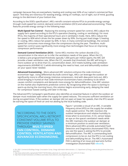campaign because they are everywhere, heating and cooling over 60% of our nation's commercial floor space<sup>4</sup>. And they are notorious for wasting energy, sitting on rooftops, out of sight, out of mind, guzzling energy to the detriment of your bottom line.

According to the DOE's specification<sup>5</sup>, ARCs retrofit constant-volume RTUs to provide energy savings through multi-speed fan control, demand control ventilation (DCV) and advanced economizing. These features provide energy savings in the following ways.

**Multi-Speed Fan Control** – Replacing the existing constant speed fan control, ARCs adjust the supply fan's speed according to the RTU's operation (heating, cooling or ventilating). For most RTUs, the majority of their operational hours are in ventilation mode. Here, ARCs reduce the fan speed to 40% which drives the fan power down by 90%. During part-load (stage-1) heating or cooling, ARCs reduce fan power by 40%. In fact, in many commercial buildings, the constant speed fan consumes more energy than the compressors during the year. Therefore, multispeed fan control saves significantly more energy than technologies that focus on improving compressor performance.

**Demand Control Ventilation (DCV)** – Some ARCs monitor the carbon dioxide (CO<sub>2</sub>) concentration in the return air to infer the ventilation needs of the space. When the CO<sub>2</sub> is below a pre-programmed threshold, typically 1,000 parts per million (ppm), the ARC will provide a lower ventilation rate. When the CO<sub>2</sub> exceeds that threshold, the ARC will bring in more outdoor air to drive that CO<sub>2</sub> concentration down. DCV meets building code ventilation requirements (ASHRAE 62.1) while eliminating the need to heat, cool and dehumidify outdoor air your space never needed.

**Advanced Economizing** – More advanced ARC solutions enhance the code-minimum economizer logic. Using differential dry-bulb control logic, ARCs can leverage the outdoor air significantly more to offset energy intensive compressors. And with dew-point lock-out, ARCs avoid bringing in humid air that code-minimum economizers have a tendency to do which causes comfort complaints and demands more energy for dehumidification. One ARC solution on the market also implements predictive control. By recognizing when the space is starting to warm-up during the morning hours, this solution begins economizing early, delaying the need for compressor based cooling until later in the day.

The Advanced RTU Campaign's specification also identifies an essential feature in which the outdoor air damper must modulate open when the supply fan speed reduces. This ensures sufficient ventilation air during occupied times. If the outdoor air damper did not open at lower fan speeds, then the RTU would be starving the space of fresh air and not abiding by the local building code.

"ACCORDING TO THE DOE'S SPECIFICATION, ARCs RETROFIT CONSTANT-VOLUME RTUs TO PROVIDE ENERGY SAVINGS THROUGH **MULTI-SPEED FAN CONTROL, DEMAND CONTROL VENTILATION AND ADVANCED ECONOMIZING.**"

Figure 1 provides a visual of an ARC. A variable frequency drive (VFD) on the supply fan enables multi-speed control. The ARC monitors the outdoor temperature and relative humidity to know when to economize. A CO<sub>2</sub> sensor keeps an eye on the space's ventilation needs while the ARC maintains the outdoor air damper at a minimum position to avoid over ventilation. More advanced ARCs provide automated Fault Detection and Diagnostics (Automated FDD). Here you see the space is asking the RTU to provide dehumidification. The ARC is commanding both compressors to be on, but the RTU is not cooling and dehumidifying the air. The ARC's Automated FDD is alerting of an issue and warrants further investigation (Automated FDD **[eBook](http://info.transformativewave.com/EBook_Automated_Fault_Detection_and_Diagnostics_by_TW)**<sup>6</sup>).

*<sup>4</sup> EIA. 2003. Commercial Buildings Energy Consumption Survey. Energy Information Administration, U.S. Department of Energy. www.eia.doe.gov/emeu/cbecs/contents.html.* 

*<sup>5</sup> http://www.advancedrtu.org/uploads/7/4/8/7/7487823/bba\_advanced\_rtu\_controller\_spec\_v0.3\_2015-01-07.docx*

*<sup>6</sup> http://info.transformativewave.com/EBook\_Automated\_Fault\_Detection\_and\_Diagnostics\_by\_TW*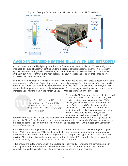

Figure 1. Example Dashboard of an RTU with an Advanced ARC Installation

### **AVOID INCREASED HEATING BILLS WITH LED RETROFITS**

All the power consumed by lighting, whether it be fluorescents, metal halide, or LED, eventually turns into heat. The type of heat that lighting emits to a space is sensible heat meaning that it increases the space's temperature (dry-bulb). The other type is latent heat which increases how much moisture is in the air, but we'll cover that in the next section. For now, we just need to know that lighting power increases the space temperature.

In the winter, the heat gain from lights will offset how much natural gas, oil or electric heat your building needs to stay comfortable. Depending on your current lighting type (e.g., fluorescent, CMH, etc.), an LED retrofit can reduce your lighting power by 40-60%. When you reduce the power by 40%-60%, you also reduce the heat generated from the lights by 40-60%. This reduces your cooling load in the summer but increases your heating load in the winter. So your RTUs need to make up the difference.

> "ARCs NOT ONLY ELIMINATE THE INCREASED HEATING DEMAND FROM AN LED RETROFIT, THEY WILL PROVIDE HEATING SAVINGS ON TOP OF THAT."

Fortunately, ARCs not only eliminate the increased heating demand from an LED retrofit, they will provide heating savings on top of that. ARCs reduce your building's heating demands in two ways. First, through DCV, they only provide the fresh air a space needs, rather than overventilating which is likely your current operation. When it's cold outside, ARCs bring in less ventilation unless it's necessary. In fact, ARCs

rarely see the return air CO<sub>3</sub> concentration exceed the threshold except for extremely high occupancy periods like Black Friday for retailers or big events at a venue. In other words, ARCs are maintaining the outdoor air damper at a minimum position 99% of the occupied hours while meeting the ventilation needs of your spaces.

ARCs also reduce heating demands by ensuring the outdoor air damper is closed during unoccupied times. While code minimum RTUs should provide this level of control using a typical programmable thermostat, many do not. Often modulating outdoor air dampers are bypassed and set to some fixed position. This not only keeps the damper open during night time RTU operation, bringing in outdoor air that isn't needed, it also eliminates the RTU's ability to economize.

ARCs ensure the outdoor air damper is modulating properly and according to the correct occupied/ unoccupied schedule. This ties into the web-connected smarts inherent in ARCs. Their internet connectivity enables users to ensure long-term performance and energy savings.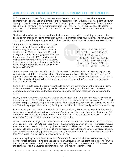# **ARCs SOLVE HUMIDITY ISSUES FROM LED RETROFITS**

Unfortunately, an LED retrofit may cause or exacerbate humidity control issues. This may seem counterintuitive so we'll use an example. A typical retail store with T8 fluorescents has a lighting power density (LPD) of 1.0 watt per square foot. The RTU's cooling capacity (tonnage) is sized for that internal sensible load – remember as we summarized above, all lighting power ends up as sensible heat to the space. The store receives an LED retrofit which reduces its LPD to 0.5 watts per square foot, a 50% reduction.

The internal sensible heat has reduced. Yet the latent heat gains, which are adding moisture to the space, do not change. The same amount of humid air is infiltrating into your building. The same number of occupants are still evaporating sweat into the air. An LED retrofit doesn't impact these latent loads.

Therefore, after an LED retrofit, with the latent heat remaining the same and the sensible heat reducing, the ratio of latent to sensible has increased. When this happens, RTUs will have greater difficulty managing humidity. And for many buildings, the RTUs won't be able to maintain the proper humidity levels – typically 55% or below according to the American Society of Heating, Refrigerating, and Air-Conditioning Engineers (ASHRAE)<sup>7</sup>.

"AFTER AN LED RETROFIT... RTUs WILL HAVE GREATER DIFFICULTY MANAGING HUMIDITY. AND FOR MANY BUILDINGS, THE RTUs WON'T BE ABLE TO MAINTAIN THE PROPER HUMIDITY LEVELS."

There are two reasons for this difficulty. First, is excessively oversized RTUs and Figure 2 explains why. When a thermostat demands cooling, the RTU turns on compressors. The light blue area in Figure 2 represents water slowly starting to accumulate onto the evaporator coil in the air stream. At this stage, the RTU is providing both sensible cooling (reducing the air temperature) and latent cooling (taking moisture out of the air).

Here is where it gets tricky. The compressor has to be run for a sufficient amount of time until "useful moisture removal" occurs, signified by the dark blue area. During this phase of the compressor operation, condensed water on the evaporator coil drops to the condensate pan and goes down the drain.

So why is all the water that has accumulated on the coil not useful latent cooling? Because as soon as the compressor turns off, all that water on the coil gets re-evaporated into the air stream. The time right after the compressor kicks off (green area) shows the RTU essentially operating as a swamp cooler. Here the RTU is doing negative latent cooling (adding moisture back into the air) and positive sensible cooling.

A great analogy is your car's air-conditioning (AC) on a humid day. When you turn the AC off but the fan keeps blowing, you feel cool, wet air coming out. And it normally has a musty smell to it. Your car's AC turned into a swamp cooler as soon as you turned the AC off. All that water that had collected inside your car's AC system is being evaporated back into the vehicle.

Now that we know the physics, let's tie in how oversized RTUs compromise humidity control. The more oversized an RTU is relative to the space it cools, the shorter the duration of each compressor cycle. As soon as the thermostat calls for cooling, the oversized RTU will be able to drive the space temperature back down to set-point quickly. As a result, the compressor cycles frequently, meaning it is reducing its "useful moisture removal" (light blue area in Figure 2). The rule of thumb is if a compressor is on for less than 10 minutes, minimal useful latent cooling was done.

Compounding the problem, the evaporation of the water from the coil after each compressor cycle provides more sensible cooling to the space. In other words, some of the latent cooling provided when the compressor was on, transforms into sensible cooling after the compressor cycles off. This reduces the compressor on-time further, eliminating more useful moisture removal time.

*7 Harriman, L. G. & Lstiburek, J. W. (2009). The ASHRAE Guide for Buildings in Hot and Humid Climates. ASHRAE. Atlanta, GA.*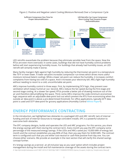

#### Figure 2. Positive and Negative Latent Cooling (Moisture Removal) Over a Compressor Cycle

LED retrofits exacerbate the problem because they eliminate sensible heat from the space. Now the RTUs are even more oversized. In some cases, buildings that did not have humidity control problems before will start experiencing humidity issues. For buildings that already had humidity issues, an LED retrofit will certainly make it worse.

Many facility mangers fight against high humidity by reducing the thermostat set-point to a temperature like 70°F or even lower. A lower set-point increases compressor run-times which drives more useful moisture removal (latent cooling). While a lower set-point can reduce the humidity, it increases comfort complaints from having too cold of a space. And it increases your electricity bill. ARCs fight high humidity without needing to resort to a cold, uncomfortable set-point.

ARCs improve humidity control in three ways. First, by implementing DCV logic, they prevent overventilation which keeps humid air out. Second, ARCs reduce the fan speed during the first-stage and second stage cooling. At a slower fan speed, RTUs provide a better job of drawing moisture out of the air and therefore dehumidifying the space. Third, some ARCs improve the code-minimum economizer logic sequence with an adjustable dew-point lock out which prevent the RTU from economizing when the outside air dew-point is above a pre-determined threshold. For office applications, typically 65°F dewpoint is used and 55°F dew-point for grocery applications (Humidity Control **[White Paper](http://info.transformativewave.com/l/138811/2016-07-06/h558y/138811/19498/WHITEPAPER_Improve_Occupant_Comfort_by_Transformative_Wave.pdf)**<sup>8</sup>).

### **ENERGY PERFORMANCE CONTRACTING**

In the introduction, we highlighted two obstacles to a packaged LED and ARC retrofit: lack of internal funding and lack of internal resources to manage coincident installs. EPC is a powerful solution to overcome both obstacles.

The EPC company designs, builds and operates the LED and ARC programs. For this service, you share the energy savings with them during the contract term. Every month you pay the EPC company some percentage of the measured energy savings. If the LEDs and ARCs saved you 10,000 kWh of energy last month and the contract establishes you pay 80% of that, then you pay them for 8,000 kWh. The contract term is configured such that you are either cost-neutral or cash-flow positive from day one. You can choose either scenario. We provide an example in the next section that will clarify this shared savings concept further.

It's 'energy savings-as-a-service', an all-inclusive 'pay as you save' option which includes project management during the install and full maintenance coverage of the assets during the contract term. *8 http://info.transformativewave.com/l/138811/2016-07-06/h558y/138811/19498/WHITEPAPER\_Improve\_Occupant\_Comfort\_by\_Transformative\_Wave.pdf*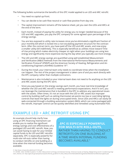The following bullets summarize the benefits of this EPC model applied to an LED and ARC retrofit:

- You need no capital up-front.
- You can decide to be cash-flow neutral or cash-flow positive from day one.
- The capital improvement remains off the balance sheet, yet you own the LEDs and ARCs at the end of the term.
- Each month, instead of paying the utility for energy you no longer needed because of the LED and ARC upgrades, you pay the EPC company for some agreed upon percentage of the energy savings.
- You are less exposed to utility rate increases since you've eliminated a significant fraction of your monthly bill which is locked into a non-escalating payment structure for the contract term. After the contract term, you have paid off the LED and ARC assets, and now enjoy a smaller utility bill indefinitely. This is especially beneficial as utilities move toward Timeof-Use pricing which makes electricity cheaper at night when your buildings are using less energy and significantly more expensive during the day when you typically use more energy.
- The LED and ARC energy savings are quantified using well established Measurement and Verification (M&V) methods from the International Performance Measurements and Verification Protocol9 (IPMVP) and the American Society of Heating, Refrigeration and Airconditioning Engineers (ASHRAE) Guideline 14<sup>10</sup>.
- During the install, your internal team only needs to coordinate times when the installation can happen. The rest of the project management is taken care of and you work directly with the EPC company rather than multiple contractors.
- Maintenance is also included so your internal team does not need to fix anything on the LED and ARC assets during the EPC term.
- Since you pay based on the energy savings each month, you have real-time knowledge of whether the LED and ARC retrofit is meeting performance expectations. And if it isn't, you can leverage the maintenance that is bundled in the EPC to address any operational issues with the assets. Often times, it's not an issue with the LED or ARC assets but improper control by building staff such as setting thermostat set-points too low or overriding lighting controls that leave the lights on during unoccupied times. Since LEDs and ARCs can easily be web-connected through a building automation system (BAS), which can come packaged with the retrofit, improper control can be quickly identified and remedied using Automated FDD.

### **EXAMPLE LED + ARC RETROFIT USING EPC**

An example should help clarify how using an EPC financing mechanism can enable you to realize the significant energy savings and cost effectiveness of a packaged LED and ARC retrofit. Now, you can avoid having to wait for your limited capital funds to do LED and ARC retrofits separately. EPC is especially powerful for multi-site roll-outs rather than having to conduct retrofits on one building at a time when the internal funding becomes available.

"**EPC IS ESPECIALLY POWERFUL FOR MULTI-SITE ROLL-OUTS,**  RATHER THAN HAVING TO CONDUCT RETROFITS ON ONE BUILDING AT A TIME WHEN INTERNAL FUNDING BECOMES AVAILABLE."

*9 http://www.nrel.gov/docs/fy02osti/31505.pdf*

*10 ASHRAE. 2002. ASHRAE Guideline 14-2002. Measurement of Energy and Demand Savings. American Society of Heating, Refrigerating and Air-Conditioning Engineers, Atlanta, GA. https://gaia.lbl.gov/people/ryin/public/Ashrae\_guideline14-2002\_Measurement%20of%20Energy%20and%20Demand%20Saving%20.pdf*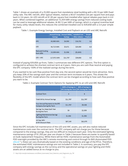Table 1 shows an example of a 25,000 square foot standalone retail building with a \$0.10 per kWh fixed utility rate. The ARC retrofit, after typical rebates, realizes a \$0.67 installed cost per square foot and pays back in 3.6 years. An LED retrofit at \$1.00 per square foot installed after typical rebates pays back in 4.4 years. When combined together, an additional 15,359 kWh energy savings from reduced cooling loads can be used to leverage additional rebates. At \$0.12 per kWh of savings, which is a typical incentive level for many utility rebate levels, this reduces the combined installed cost to \$39,858 with a 3.4 year simple payback.

|                                     | <b>Annual Energy</b><br><b>Savings</b> | <b>Annual Utility</b><br><b>Savings</b> | <b>Installed Cost</b><br><b>After rebates</b> | <b>Simple</b><br><b>Payback</b> |
|-------------------------------------|----------------------------------------|-----------------------------------------|-----------------------------------------------|---------------------------------|
| <b>ARC</b>                          | 45,900 kWh                             | \$4,590                                 | \$16,701                                      | 3.6                             |
| LED                                 | 56,713 kWh                             | \$5,671                                 | \$25,000                                      | 4.4                             |
| <b>Reduced Cooling</b><br>from LEDs | 15,359 kWh                             | \$1,536                                 | (51, 843)                                     |                                 |
| $LED + ARC$                         | 117.971 kWh                            | \$11,797                                | \$39,858                                      | 3.4                             |

Table 1. Example Energy Savings, Installed Cost and Payback on an LED and ARC Retrofit

Instead of paying \$39,858 up-front, Table 2 summarizes two different EPC options. The first option is configured to achieve the shortest contract term at 4 years. Here you are cash-flow neutral and paying the EPC company 100% of the realized savings during the term.

If you wanted to be cash-flow positive from day one, the second option would be more attractive. Here, you keep 20% of the savings each year and the contract term increases to 6 years. This shows the flexibility of the EPC model where the contract term can be changed according to how cash-flow positive you want to be.

|                                                                   | 100% of Savings to | 80% of Savings to<br><b>EPC During the Term EPC During the Term</b> |
|-------------------------------------------------------------------|--------------------|---------------------------------------------------------------------|
| <b>Contract Term</b>                                              | 4                  | 6                                                                   |
| <b>Total Utility Annual Savings</b>                               | \$11,797           | \$11,797                                                            |
| Your Annual Payments to the EPC<br><b>Company During the Term</b> | \$11,797           | \$9,438                                                             |
| Savings You Keep Each Year<br>During the Term                     | \$0                | \$2,359                                                             |
| <b>Lighting Maintenance Savings</b><br>During the Term            | \$1,350            | \$1,350                                                             |
| 10-Year NPV<br>at 6% Discount Rate                                | \$67,245           | \$62,075                                                            |

Table 2. Example Contract Term Options for Applying EPC to an LED and ARC Retrofit

Since the EPC includes full maintenance of the LED and ARC assets, you will also realize reduced maintenance costs over the contract term. The EPC company will not charge you for those because compared to the energy savings, they are too difficult to measure each year. Only the estimated lighting maintenance savings of \$1,350 per year are shown in Table 2 because these are easier to quantify based on bulb replacement frequency. While there will be HVAC maintenance savings from the Automated FDD oversight provided by the ARC's remote monitoring and control through its BAS (Automated FDD **[eBook](http://info.transformativewave.com/EBook_Automated_Fault_Detection_and_Diagnostics_by_TW)**<sup>11</sup>), these can vary dramatically based on the existing conditions and age of the RTUs. Therefore, the estimated HVAC maintenance savings are not included in Table 2. In summary, you pay the EPC company with energy savings as the currency and the operational savings on your lighting and HVAC assets are an added bonus at no charge to you.

*<sup>11</sup> http://info.transformativewave.com/EBook\_Automated\_Fault\_Detection\_and\_Diagnostics\_by\_TW*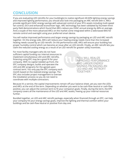## **CONCLUSION**

If you are evaluating LED retrofits for your building(s) to realize significant 40-60% lighting energy savings and improved lighting performance, you should also look into packaging an ARC retrofit with it. ARCs provide significant HVAC energy savings with advanced control of your RTU assets including multi-speed fan control, DCV and enhanced economizer logic. ARC technology has been validated by fourteen thirdparty field demonstrations which found that ARCs reduce you HVAC annual energy by 46% on average. And a couple of the more advanced ARCs on the market come integrated within a web-based BAS for remote control and oversight using your preferred smart device.

You will realize improved performance and larger energy savings by packaging an LED and ARC retrofit together. On the energy side, ARCs will reduce your heating energy needs more than the increased heating needs caused by an LED retrofit. On the performance side, ARCs will ensure your building has proper humidity control which can become an issue after an LED retrofit. Finally, an ARC retrofit lets you claim the reduced cooling energy as a result of an LED retrofit for greater utility incentives.

For most facility managers who do not have sufficient capital funding nor internal resources to implement simultaneous LED and ARC retrofits, financing using EPC may be a good fit for your company. With no capital needed up-front, the EPC company designs, builds and operates the LED and ARC programs for the agreed upon contract term. You only pay the EPC company each month based on the realized energy savings. The EPC also includes project management to oversee the installation process so you do not need to coordinate with multiple contractors.

"YOU WILL REALIZE IMPROVED PERFORMANCE AND LARGER ENERGY SAVINGS PACKAGING AN LED AND ARC RETROFIT TOGETHER."

Because it's a service, the capital improvements remain off your balance sheet, yet you own the LEDs and ARCs at the end of the term. Depending on whether you want to be cash-flow neutral or cash-flow positive, you can adjust the contract term to fit your company's goals. Finally, during the term, the EPC company covers all the maintenance of the LED and ARC assets, freeing up your internal resources further.

Bundled together, an LED and ARC retrofit package, especially when financed through an EPC, can help your company hit your energy savings goals, improve the lighting and thermal comfort within your buildings and be cash-flow neutral or positive from day one.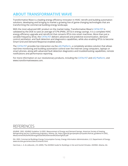# **ABOUT TRANSFORMATIVE WAVE**

Transformative Wave is a leading energy efficiency innovator in HVAC retrofit and building automation solutions, developing and bringing to market a growing line of game-changing technologies that are transforming the commercial building energy landscape.

With the most advanced ARC product on the market today, Transformative Wave's CATALYST is validated by the DOE to save an average of 57% (PNNL 2013) in energy savings. It is a complete HVAC energy efficiency upgrade and retrofit kit that converts RTUs into smart machines. More than just a variable frequency drive, the CATALYST delivers advanced and predictive economization, demand control ventilation, and fault detection and diagnostics capabilities, while also enabling RTUs to become Smart Grid and Demand Response enabled assets.

The CATALYST provides live interaction via the eIQ Platform, a completely wireless solution that allows real-time monitoring and building automation control over the Internet using computers, laptops or smart phones, along with advanced fault detection diagnostics and troubleshooting capabilities, remote notifications and performance reporting.

For more information on our revolutionary products, including the CATALYST and eIQ Platform, visit www.transformativewave.com.

### **REFERENCES**

ASHRAE. 2002. ASHRAE Guideline 14-2002. Measurement of Energy and Demand Savings. American Society of Heating, Refrigerating and Air-Conditioning Engineers, Atlanta, GA. https://gaia.lbl.gov/people/ryin/public/Ashrae\_guideline14-2002\_ Measurement%20of%20Energy%20and%20Demand%20Saving%20.pdf

EIA. 2003. Commercial Buildings Energy Consumption Survey. Energy Information Administration, U.S. Department of Energy. www.eia.doe.gov/emeu/cbecs/contents.html.

Harriman, L. G. & Lstiburek, J. W. (2009). The ASHRAE Guide for Buildings in Hot and Humid Climates. ASHRAE. Atlanta, GA.